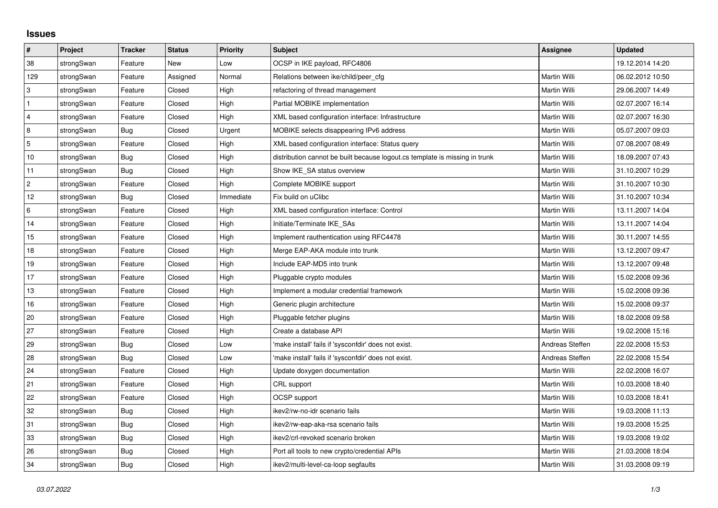## **Issues**

| $\pmb{\#}$     | Project    | <b>Tracker</b> | <b>Status</b> | <b>Priority</b> | <b>Subject</b>                                                              | <b>Assignee</b> | <b>Updated</b>   |
|----------------|------------|----------------|---------------|-----------------|-----------------------------------------------------------------------------|-----------------|------------------|
| 38             | strongSwan | Feature        | <b>New</b>    | Low             | OCSP in IKE payload, RFC4806                                                |                 | 19.12.2014 14:20 |
| 129            | strongSwan | Feature        | Assigned      | Normal          | Relations between ike/child/peer cfg                                        | Martin Willi    | 06.02.2012 10:50 |
| 3              | strongSwan | Feature        | Closed        | High            | refactoring of thread management                                            | Martin Willi    | 29.06.2007 14:49 |
| $\mathbf{1}$   | strongSwan | Feature        | Closed        | High            | Partial MOBIKE implementation                                               | Martin Willi    | 02.07.2007 16:14 |
| $\overline{4}$ | strongSwan | Feature        | Closed        | High            | XML based configuration interface: Infrastructure                           | Martin Willi    | 02.07.2007 16:30 |
| 8              | strongSwan | <b>Bug</b>     | Closed        | Urgent          | MOBIKE selects disappearing IPv6 address                                    | Martin Willi    | 05.07.2007 09:03 |
| 5              | strongSwan | Feature        | Closed        | High            | XML based configuration interface: Status query                             | Martin Willi    | 07.08.2007 08:49 |
| 10             | strongSwan | Bug            | Closed        | High            | distribution cannot be built because logout.cs template is missing in trunk | Martin Willi    | 18.09.2007 07:43 |
| 11             | strongSwan | Bug            | Closed        | High            | Show IKE_SA status overview                                                 | Martin Willi    | 31.10.2007 10:29 |
| $\overline{c}$ | strongSwan | Feature        | Closed        | High            | Complete MOBIKE support                                                     | Martin Willi    | 31.10.2007 10:30 |
| 12             | strongSwan | Bug            | Closed        | Immediate       | Fix build on uClibc                                                         | Martin Willi    | 31.10.2007 10:34 |
| 6              | strongSwan | Feature        | Closed        | High            | XML based configuration interface: Control                                  | Martin Willi    | 13.11.2007 14:04 |
| 14             | strongSwan | Feature        | Closed        | High            | Initiate/Terminate IKE SAs                                                  | Martin Willi    | 13.11.2007 14:04 |
| 15             | strongSwan | Feature        | Closed        | High            | Implement rauthentication using RFC4478                                     | Martin Willi    | 30.11.2007 14:55 |
| 18             | strongSwan | Feature        | Closed        | High            | Merge EAP-AKA module into trunk                                             | Martin Willi    | 13.12.2007 09:47 |
| 19             | strongSwan | Feature        | Closed        | High            | Include EAP-MD5 into trunk                                                  | Martin Willi    | 13.12.2007 09:48 |
| 17             | strongSwan | Feature        | Closed        | High            | Pluggable crypto modules                                                    | Martin Willi    | 15.02.2008 09:36 |
| 13             | strongSwan | Feature        | Closed        | High            | Implement a modular credential framework                                    | Martin Willi    | 15.02.2008 09:36 |
| 16             | strongSwan | Feature        | Closed        | High            | Generic plugin architecture                                                 | Martin Willi    | 15.02.2008 09:37 |
| 20             | strongSwan | Feature        | Closed        | High            | Pluggable fetcher plugins                                                   | Martin Willi    | 18.02.2008 09:58 |
| 27             | strongSwan | Feature        | Closed        | High            | Create a database API                                                       | Martin Willi    | 19.02.2008 15:16 |
| 29             | strongSwan | Bug            | Closed        | Low             | 'make install' fails if 'sysconfdir' does not exist.                        | Andreas Steffen | 22.02.2008 15:53 |
| 28             | strongSwan | Bug            | Closed        | Low             | 'make install' fails if 'sysconfdir' does not exist.                        | Andreas Steffen | 22.02.2008 15:54 |
| 24             | strongSwan | Feature        | Closed        | High            | Update doxygen documentation                                                | Martin Willi    | 22.02.2008 16:07 |
| 21             | strongSwan | Feature        | Closed        | High            | CRL support                                                                 | Martin Willi    | 10.03.2008 18:40 |
| 22             | strongSwan | Feature        | Closed        | High            | OCSP support                                                                | Martin Willi    | 10.03.2008 18:41 |
| 32             | strongSwan | Bug            | Closed        | High            | ikev2/rw-no-idr scenario fails                                              | Martin Willi    | 19.03.2008 11:13 |
| 31             | strongSwan | <b>Bug</b>     | Closed        | High            | ikev2/rw-eap-aka-rsa scenario fails                                         | Martin Willi    | 19.03.2008 15:25 |
| 33             | strongSwan | Bug            | Closed        | High            | ikev2/crl-revoked scenario broken                                           | Martin Willi    | 19.03.2008 19:02 |
| 26             | strongSwan | Bug            | Closed        | High            | Port all tools to new crypto/credential APIs                                | Martin Willi    | 21.03.2008 18:04 |
| 34             | strongSwan | Bug            | Closed        | High            | ikev2/multi-level-ca-loop segfaults                                         | Martin Willi    | 31.03.2008 09:19 |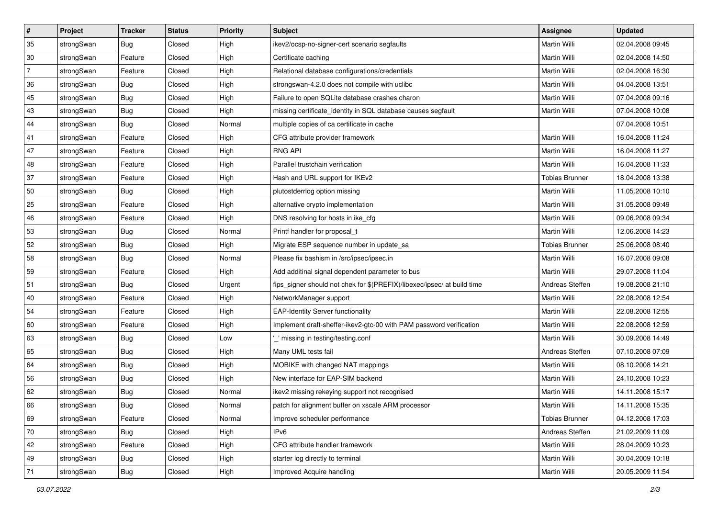| #              | Project    | <b>Tracker</b> | <b>Status</b> | <b>Priority</b> | Subject                                                                 | Assignee              | <b>Updated</b>   |
|----------------|------------|----------------|---------------|-----------------|-------------------------------------------------------------------------|-----------------------|------------------|
| 35             | strongSwan | <b>Bug</b>     | Closed        | High            | ikev2/ocsp-no-signer-cert scenario segfaults                            | Martin Willi          | 02.04.2008 09:45 |
| 30             | strongSwan | Feature        | Closed        | High            | Certificate caching                                                     | Martin Willi          | 02.04.2008 14:50 |
| $\overline{7}$ | strongSwan | Feature        | Closed        | High            | Relational database configurations/credentials                          | Martin Willi          | 02.04.2008 16:30 |
| 36             | strongSwan | Bug            | Closed        | High            | strongswan-4.2.0 does not compile with uclibc                           | Martin Willi          | 04.04.2008 13:51 |
| 45             | strongSwan | Bug            | Closed        | High            | Failure to open SQLite database crashes charon                          | Martin Willi          | 07.04.2008 09:16 |
| 43             | strongSwan | <b>Bug</b>     | Closed        | High            | missing certificate_identity in SQL database causes segfault            | Martin Willi          | 07.04.2008 10:08 |
| 44             | strongSwan | Bug            | Closed        | Normal          | multiple copies of ca certificate in cache                              |                       | 07.04.2008 10:51 |
| 41             | strongSwan | Feature        | Closed        | High            | CFG attribute provider framework                                        | Martin Willi          | 16.04.2008 11:24 |
| 47             | strongSwan | Feature        | Closed        | High            | <b>RNG API</b>                                                          | Martin Willi          | 16.04.2008 11:27 |
| 48             | strongSwan | Feature        | Closed        | High            | Parallel trustchain verification                                        | Martin Willi          | 16.04.2008 11:33 |
| 37             | strongSwan | Feature        | Closed        | High            | Hash and URL support for IKEv2                                          | <b>Tobias Brunner</b> | 18.04.2008 13:38 |
| 50             | strongSwan | Bug            | Closed        | High            | plutostderrlog option missing                                           | Martin Willi          | 11.05.2008 10:10 |
| 25             | strongSwan | Feature        | Closed        | High            | alternative crypto implementation                                       | Martin Willi          | 31.05.2008 09:49 |
| 46             | strongSwan | Feature        | Closed        | High            | DNS resolving for hosts in ike_cfg                                      | Martin Willi          | 09.06.2008 09:34 |
| 53             | strongSwan | <b>Bug</b>     | Closed        | Normal          | Printf handler for proposal_t                                           | Martin Willi          | 12.06.2008 14:23 |
| 52             | strongSwan | <b>Bug</b>     | Closed        | High            | Migrate ESP sequence number in update_sa                                | <b>Tobias Brunner</b> | 25.06.2008 08:40 |
| 58             | strongSwan | Bug            | Closed        | Normal          | Please fix bashism in /src/ipsec/ipsec.in                               | Martin Willi          | 16.07.2008 09:08 |
| 59             | strongSwan | Feature        | Closed        | High            | Add additinal signal dependent parameter to bus                         | <b>Martin Willi</b>   | 29.07.2008 11:04 |
| 51             | strongSwan | Bug            | Closed        | Urgent          | fips_signer should not chek for \$(PREFIX)/libexec/ipsec/ at build time | Andreas Steffen       | 19.08.2008 21:10 |
| 40             | strongSwan | Feature        | Closed        | High            | NetworkManager support                                                  | Martin Willi          | 22.08.2008 12:54 |
| 54             | strongSwan | Feature        | Closed        | High            | <b>EAP-Identity Server functionality</b>                                | Martin Willi          | 22.08.2008 12:55 |
| 60             | strongSwan | Feature        | Closed        | High            | Implement draft-sheffer-ikev2-gtc-00 with PAM password verification     | Martin Willi          | 22.08.2008 12:59 |
| 63             | strongSwan | Bug            | Closed        | Low             | _' missing in testing/testing.conf                                      | Martin Willi          | 30.09.2008 14:49 |
| 65             | strongSwan | Bug            | Closed        | High            | Many UML tests fail                                                     | Andreas Steffen       | 07.10.2008 07:09 |
| 64             | strongSwan | Bug            | Closed        | High            | MOBIKE with changed NAT mappings                                        | Martin Willi          | 08.10.2008 14:21 |
| 56             | strongSwan | Bug            | Closed        | High            | New interface for EAP-SIM backend                                       | Martin Willi          | 24.10.2008 10:23 |
| 62             | strongSwan | Bug            | Closed        | Normal          | ikev2 missing rekeying support not recognised                           | Martin Willi          | 14.11.2008 15:17 |
| 66             | strongSwan | <b>Bug</b>     | Closed        | Normal          | patch for alignment buffer on xscale ARM processor                      | Martin Willi          | 14.11.2008 15:35 |
| 69             | strongSwan | Feature        | Closed        | Normal          | Improve scheduler performance                                           | <b>Tobias Brunner</b> | 04.12.2008 17:03 |
| 70             | strongSwan | Bug            | Closed        | High            | IPv6                                                                    | Andreas Steffen       | 21.02.2009 11:09 |
| 42             | strongSwan | Feature        | Closed        | High            | CFG attribute handler framework                                         | Martin Willi          | 28.04.2009 10:23 |
| 49             | strongSwan | Bug            | Closed        | High            | starter log directly to terminal                                        | Martin Willi          | 30.04.2009 10:18 |
| 71             | strongSwan | <b>Bug</b>     | Closed        | High            | Improved Acquire handling                                               | Martin Willi          | 20.05.2009 11:54 |